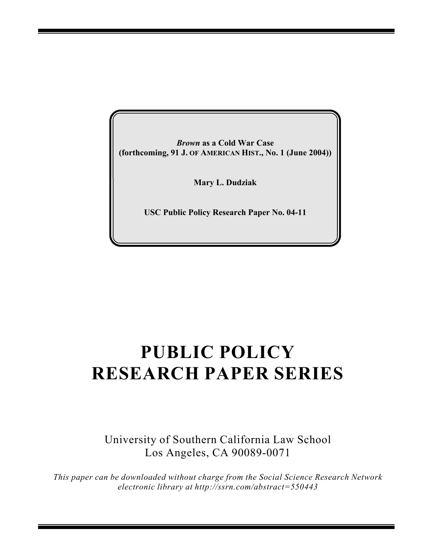*Brown* **as a Cold War Case (forthcoming, 91 J. OF AMERICAN HIST., No. 1 (June 2004))**

**Mary L. Dudziak**

**USC Public Policy Research Paper No. 04-11**

## **PUBLIC POLICY RESEARCH PAPER SERIES**

University of Southern California Law School Los Angeles, CA 90089-0071

*This paper can be downloaded without charge from the Social Science Research Network electronic library at http://ssrn.com/abstract=550443*